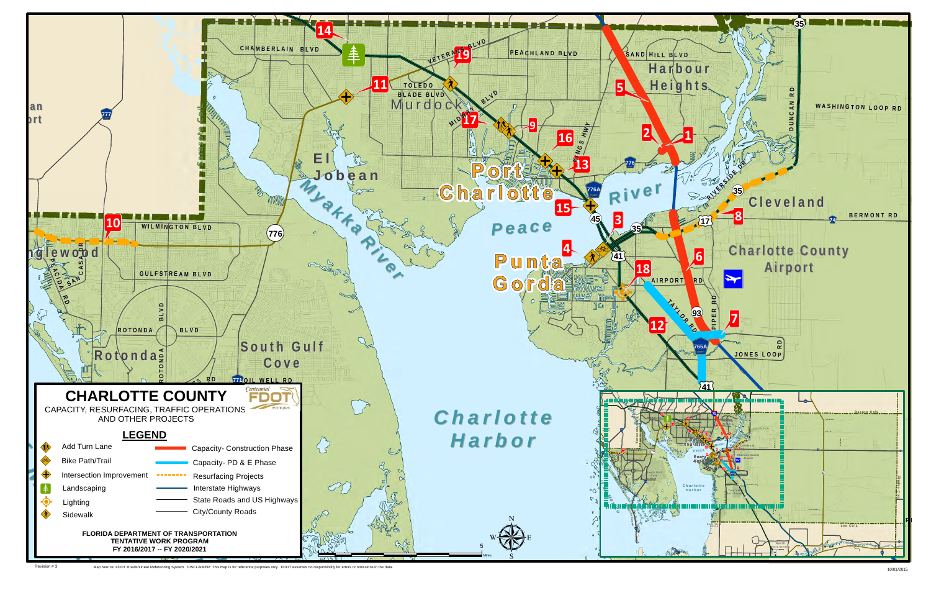

 $\delta$